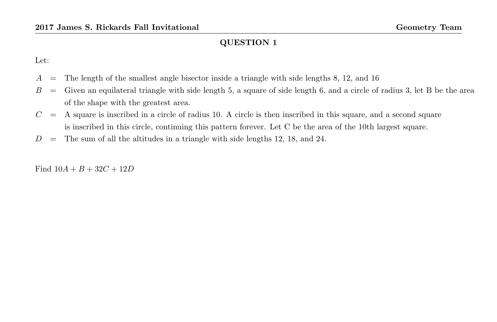Let:

- $A =$ The length of the smallest angle bisector inside a triangle with side lengths 8, 12, and 16
- $B =$  Given an equilateral triangle with side length 5, a square of side length 6, and a circle of radius 3, let B be the area of the shape with the greatest area.
- $C = A$  square is inscribed in a circle of radius 10. A circle is then inscribed in this square, and a second square is inscribed in this circle, continuing this pattern forever. Let C be the area of the 10th largest square.
- $D =$  The sum of all the altitudes in a triangle with side lengths 12, 18, and 24.

Find  $10A + B + 32C + 12D$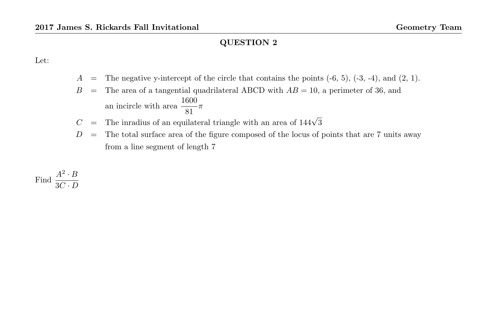Let:

- $A =$ The negative y-intercept of the circle that contains the points  $(-6, 5)$ ,  $(-3, -4)$ , and  $(2, 1)$ .
- $B =$ The area of a tangential quadrilateral ABCD with  $AB = 10$ , a perimeter of 36, and an incircle with area  $\frac{1600}{81}\pi$
- $C =$  The inradius of an equilateral triangle with an area of  $144\sqrt{3}$
- $D =$  The total surface area of the figure composed of the locus of points that are 7 units away from a line segment of length 7

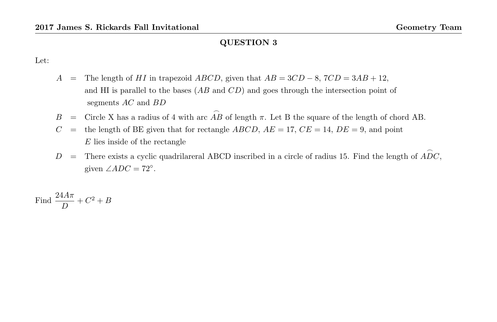Let:

- A = The length of HI in trapezoid  $ABCD$ , given that  $AB = 3CD 8$ ,  $7CD = 3AB + 12$ , and HI is parallel to the bases  $(AB \text{ and } CD)$  and goes through the intersection point of segments AC and BD
- B = Circle X has a radius of 4 with arc  $\stackrel{\frown}{AB}$  of length  $\pi$ . Let B the square of the length of chord AB.
- $C =$  the length of BE given that for rectangle ABCD,  $AE = 17$ ,  $CE = 14$ ,  $DE = 9$ , and point  $E$  lies inside of the rectangle
- D = There exists a cyclic quadrilareral ABCD inscribed in a circle of radius 15. Find the length of  $\widehat{ADC}$ , given  $\angle ADC = 72^\circ$ .

Find  $\frac{24A\pi}{D} + C^2 + B$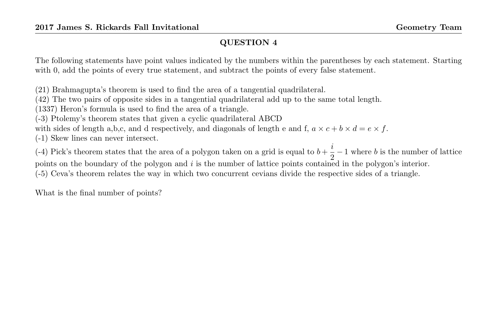The following statements have point values indicated by the numbers within the parentheses by each statement. Starting with 0, add the points of every true statement, and subtract the points of every false statement.

(21) Brahmagupta's theorem is used to find the area of a tangential quadrilateral.

(42) The two pairs of opposite sides in a tangential quadrilateral add up to the same total length.

(1337) Heron's formula is used to find the area of a triangle.

(-3) Ptolemy's theorem states that given a cyclic quadrilateral ABCD

with sides of length a,b,c, and d respectively, and diagonals of length e and f,  $a \times c + b \times d = e \times f$ .

(-1) Skew lines can never intersect.

(-4) Pick's theorem states that the area of a polygon taken on a grid is equal to  $b + \frac{i}{6}$  $\frac{v}{2} - 1$  where b is the number of lattice points on the boundary of the polygon and i is the number of lattice points contained in the polygon's interior. (-5) Ceva's theorem relates the way in which two concurrent cevians divide the respective sides of a triangle.

What is the final number of points?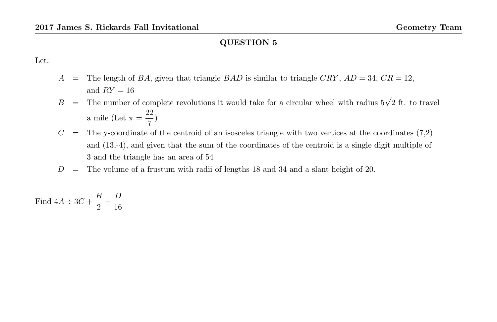Let:

- A = The length of BA, given that triangle BAD is similar to triangle CRY,  $AD = 34$ ,  $CR = 12$ , and  $RY = 16$
- $B =$  The number of complete revolutions it would take for a circular wheel with radius  $5\sqrt{2}$  ft. to travel a mile (Let  $\pi = \frac{22}{7}$  $\frac{1}{7})$
- $C =$  The y-coordinate of the centroid of an isosceles triangle with two vertices at the coordinates (7,2) and (13,-4), and given that the sum of the coordinates of the centroid is a single digit multiple of 3 and the triangle has an area of 54
- $D =$  The volume of a frustum with radii of lengths 18 and 34 and a slant height of 20.

Find  $4A \div 3C + \frac{B}{2}$  $\frac{B}{2} + \frac{D}{16}$ 16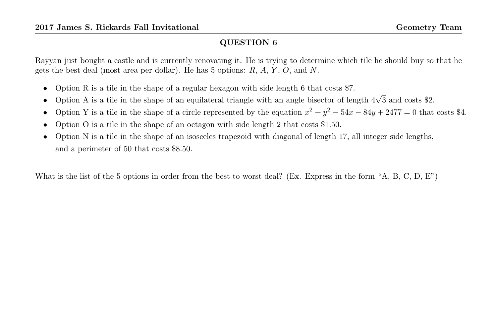Rayyan just bought a castle and is currently renovating it. He is trying to determine which tile he should buy so that he gets the best deal (most area per dollar). He has 5 options:  $R$ ,  $A$ ,  $Y$ ,  $O$ , and  $N$ .

- Option R is a tile in the shape of a regular hexagon with side length 6 that costs \$7.
- Option A is a tile in the shape of an equilateral triangle with an angle bisector of length  $4\sqrt{3}$  and costs \$2.
- Option Y is a tile in the shape of a circle represented by the equation  $x^2 + y^2 54x 84y + 2477 = 0$  that costs \$4.
- Option O is a tile in the shape of an octagon with side length 2 that costs \$1.50.
- Option N is a tile in the shape of an isosceles trapezoid with diagonal of length 17, all integer side lengths, and a perimeter of 50 that costs \$8.50.

What is the list of the 5 options in order from the best to worst deal? (Ex. Express in the form "A, B, C, D, E")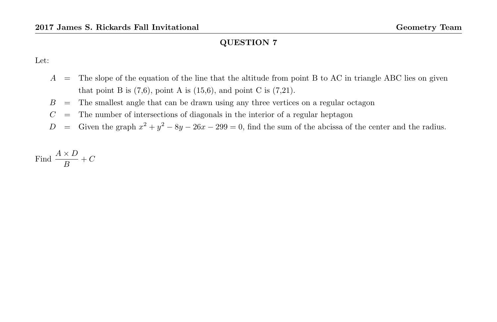Let:

- $A =$ The slope of the equation of the line that the altitude from point B to AC in triangle ABC lies on given that point B is  $(7,6)$ , point A is  $(15,6)$ , and point C is  $(7,21)$ .
- $B =$ The smallest angle that can be drawn using any three vertices on a regular octagon
- $C =$  The number of intersections of diagonals in the interior of a regular heptagon
- D = Given the graph  $x^2 + y^2 8y 26x 299 = 0$ , find the sum of the abcissa of the center and the radius.

Find 
$$
\frac{A \times D}{B} + C
$$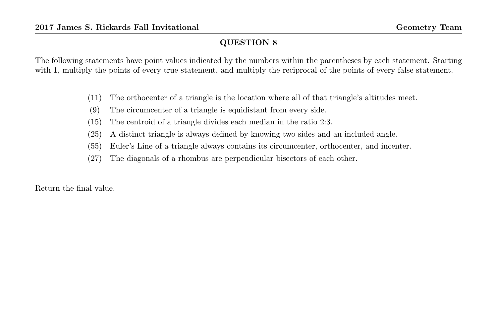The following statements have point values indicated by the numbers within the parentheses by each statement. Starting with 1, multiply the points of every true statement, and multiply the reciprocal of the points of every false statement.

- (11) The orthocenter of a triangle is the location where all of that triangle's altitudes meet.
- (9) The circumcenter of a triangle is equidistant from every side.
- (15) The centroid of a triangle divides each median in the ratio 2:3.
- (25) A distinct triangle is always defined by knowing two sides and an included angle.
- (55) Euler's Line of a triangle always contains its circumcenter, orthocenter, and incenter.
- (27) The diagonals of a rhombus are perpendicular bisectors of each other.

Return the final value.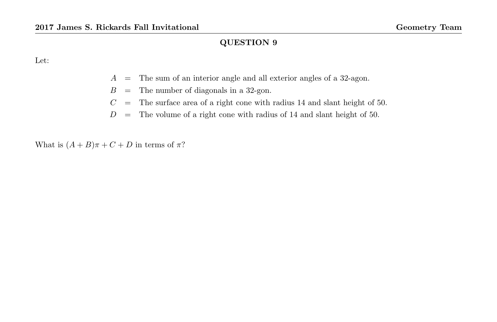Let:

- A = The sum of an interior angle and all exterior angles of a 32-agon.
- $B =$  The number of diagonals in a 32-gon.
- $C =$  The surface area of a right cone with radius 14 and slant height of 50.
- $D =$  The volume of a right cone with radius of 14 and slant height of 50.

What is  $(A + B)\pi + C + D$  in terms of  $\pi$ ?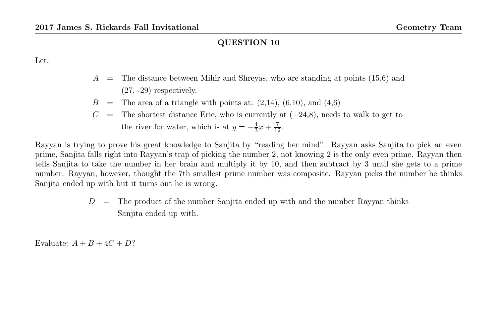Let:

- $A =$  The distance between Mihir and Shreyas, who are standing at points (15,6) and (27, -29) respectively.
- $B =$  The area of a triangle with points at:  $(2,14)$ ,  $(6,10)$ , and  $(4,6)$
- $C =$  The shortest distance Eric, who is currently at  $(-24,8)$ , needs to walk to get to the river for water, which is at  $y = -\frac{4}{3}x + \frac{7}{12}$ .

Rayyan is trying to prove his great knowledge to Sanjita by "reading her mind". Rayyan asks Sanjita to pick an even prime, Sanjita falls right into Rayyan's trap of picking the number 2, not knowing 2 is the only even prime. Rayyan then tells Sanjita to take the number in her brain and multiply it by 10, and then subtract by 3 until she gets to a prime number. Rayyan, however, thought the 7th smallest prime number was composite. Rayyan picks the number he thinks Sanjita ended up with but it turns out he is wrong.

> $D =$  The product of the number Sanjita ended up with and the number Rayyan thinks Sanjita ended up with.

Evaluate:  $A + B + 4C + D?$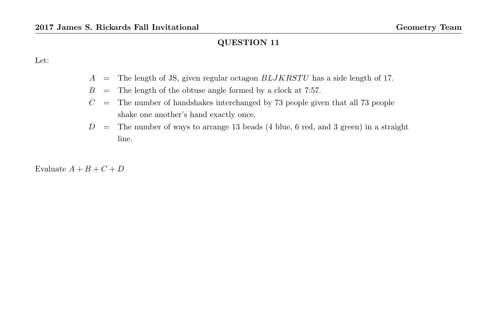Let:

- $A$  = The length of JS, given regular octagon  $BLJKRSTU$  has a side length of 17.
- $B =$  The length of the obtuse angle formed by a clock at 7:57.
- $C =$  The number of handshakes interchanged by 73 people given that all 73 people shake one another's hand exactly once.
- $D =$ The number of ways to arrange 13 beads (4 blue, 6 red, and 3 green) in a straight line.

Evaluate  $A + B + C + D$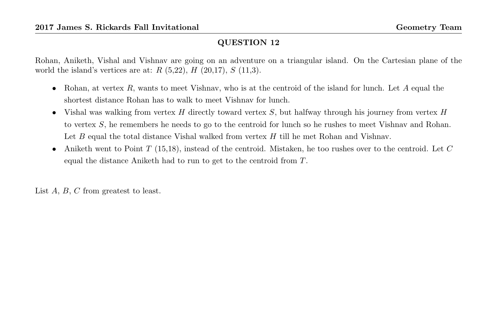Rohan, Aniketh, Vishal and Vishnav are going on an adventure on a triangular island. On the Cartesian plane of the world the island's vertices are at:  $R(5,22), H(20,17), S(11,3).$ 

- Rohan, at vertex  $R$ , wants to meet Vishnav, who is at the centroid of the island for lunch. Let  $A$  equal the shortest distance Rohan has to walk to meet Vishnav for lunch.
- Vishal was walking from vertex H directly toward vertex  $S$ , but halfway through his journey from vertex  $H$ to vertex S, he remembers he needs to go to the centroid for lunch so he rushes to meet Vishnav and Rohan. Let  $B$  equal the total distance Vishal walked from vertex  $H$  till he met Rohan and Vishnav.
- Aniketh went to Point  $T$  (15,18), instead of the centroid. Mistaken, he too rushes over to the centroid. Let  $C$ equal the distance Aniketh had to run to get to the centroid from T.

List A, B, C from greatest to least.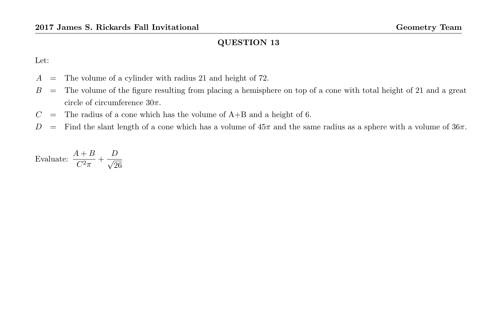Let:

- $A =$  The volume of a cylinder with radius 21 and height of 72.
- $B =$  The volume of the figure resulting from placing a hemisphere on top of a cone with total height of 21 and a great circle of circumference  $30\pi$ .
- $C =$  The radius of a cone which has the volume of  $A+B$  and a height of 6.
- D = Find the slant length of a cone which has a volume of  $45\pi$  and the same radius as a sphere with a volume of  $36\pi$ .

Evaluate:  $\frac{A+B}{C^2\pi} + \frac{D}{\sqrt{2}}$ 26